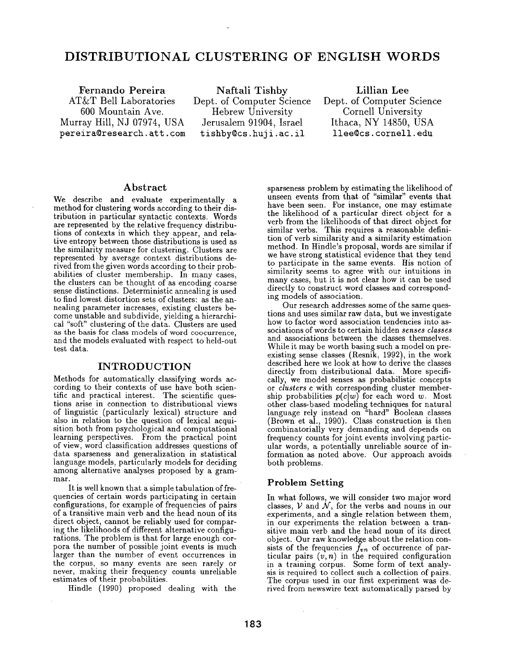# **DISTRIBUTIONAL CLUSTERING OF ENGLISH WORDS**

**Fernando Pereira**  AT&T Bell Laboratories 600 Mountain Ave. Murray Hill, NJ 07974, USA pereira@research, att. com

Naftali Tishby Dept. of Computer Science Hebrew University Jerusalem 91904, Israel tishby@cs.huji.ac.il

Lillian **Lee**  Dept. of Computer Science Cornell University Ithaca, NY 14850, USA llee@cs.cornell.edu

#### **Abstract**

We describe and evaluate experimentally a method for clustering words according to their distribution in particular syntactic contexts. Words **are** represented by the relative frequency distributions of contexts in which they appear, and relative entropy between those distributions is used as the similarity measure for clustering. Clusters are represented by average context distributions derived from the given words according to their probabilities of cluster membership. In many cases, the clusters can be thought of as encoding coarse sense distinctions. Deterministic annealing is used to find lowest distortion sets of clusters: as the annealing parameter increases, existing clusters become unstable and subdivide, yielding a hierarchical "soft" clustering of the data. Clusters are used as the basis for class models of word coocurrence, and the models evaluated with respect to held-out test data.

## INTRODUCTION

Methods for automatically classifying words according to their contexts of use have both scientific and practical interest. The scientific questions arise in connection to distributional views of linguistic (particularly lexical) structure and also in relation to the question of lexical acquisition both from psychological and computational learning perspectives. From the practical point of view, word classification addresses questions of data sparseness and generalization in statistical language models, particularly models for deciding among alternative analyses proposed by a grammar.

It is well known that a simple tabulation of frequencies of certain words participating in certain configurations, for example of frequencies of pairs of a transitive main verb and the head noun of its direct object, cannot be reliably used for comparing the likelihoods of different alternative configurations. The problemis that for large enough corpora the number of possible joint events is much larger than the number of event occurrences in the corpus, so many events are seen rarely or never, making their frequency counts unreliable estimates of their probabilities.

Hindle (1990) proposed dealing with the

sparseness problem by estimating the likelihood of unseen events from that of "similar" events that have been seen. For instance, one may estimate the likelihood of a particular direct object for a verb from the likelihoods of that direct object for similar verbs. This requires a reasonable definition of verb similarity and a similarity estimation method. In Hindle's proposal, words are similar if we have strong statistical evidence that they tend to participate in the same events. His notion of similarity seems to agree with our intuitions in many cases, but it is not clear how it can be used directly to construct word classes and corresponding models of association.

Our research addresses some of the same questions and uses similar raw data, but we investigate how to factor word association tendencies into associations of words to certain hidden *senses classes*  and associations between the classes themselves. While it may be worth basing such a model on preexisting sense classes (Resnik, 1992), in the work described here we look at how to derive the classes directly from distributional data. More specifically, we model senses as probabilistic concepts or *clusters* c with corresponding cluster membership probabilities  $p(c|w)$  for each word w. Most other class-based modeling techniques for natural language rely instead on "hard" Boolean classes (Brown et al., 1990). Class construction is then combinatorially very demanding and depends on frequency counts for joint events involving particular words, a potentially unreliable source of information as noted above. Our approach avoids both problems.

## **Problem Setting**

 $\sim$ 

In what follows, we will consider two major word classes,  $V$  and  $N$ , for the verbs and nouns in our experiments, and a single relation between them, in our experiments the relation between a transitive main verb and the head noun of its direct object. Our raw knowledge about the relation con $s$  ists of the frequencies  $f_{vn}$  of occurrence of particular pairs  $(v, n)$  in the required configuration in a training corpus. Some form of text analysis is required to collect such a collection of pairs. The corpus used in our first experiment was derived from newswire text automatically parsed by

 $\bar{z}$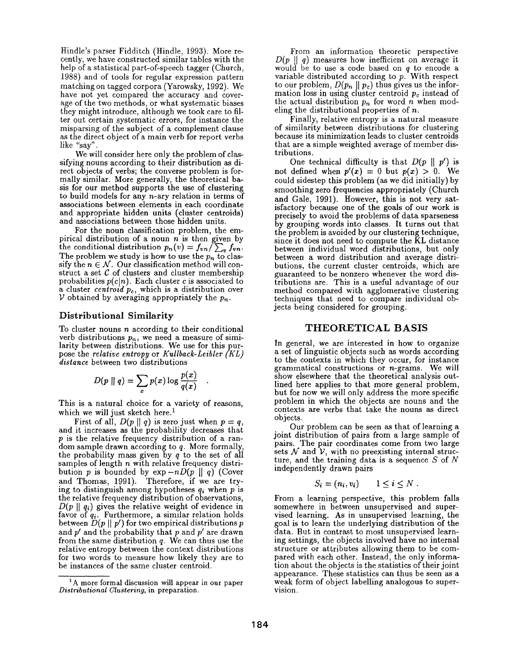Hindle's parser Fidditch (Hindle, 1993). More recently, we have constructed similar tables with the help of a statistical part-of-speech tagger (Church, 1988) and of tools for regular expression pattern matching on tagged corpora (Yarowsky, 1992). We have not yet compared the accuracy and coverage of the two methods, or what systematic biases they might introduce, although we took care to filter out certain systematic errors, for instance the misparsing of the subject of a complement clause as the direct object of a main verb for report verbs like *"say".* 

We will consider here only the problem of classifying nouns according to their distribution as direct objects of verbs; the converse problem is formally similar. More generally, the theoretical basis for our method supports the use of clustering to build models for any  $n$ -ary relation in terms of associations between elements in each coordinate and appropriate hidden units (cluster centroids) and associations between those hidden units.

For the noun classification problem, the empirical distribution of a noun  $n$  is then given by the conditional distribution  $p_n(v) = f_{vn}/\sum_v f_{vn}$ . The problem we study is how to use the  $p_n$  to classify the  $n \in \mathcal{N}$ . Our classification method will construct a set  $C$  of clusters and cluster membership probabilities  $p(c|n)$ . Each cluster c is associated to a cluster *centroid Pc,* which is a distribution over  $V$  obtained by averaging appropriately the  $p_n$ .

#### **Distributional Similarity**

To cluster nouns  $n$  according to their conditional verb distributions  $p_n$ , we need a measure of similarity between distributions. We use for this purpose the *relative entropy* or *Kullback-Leibler (KL) distance* between two distributions

$$
D(p \parallel q) = \sum_{x} p(x) \log \frac{p(x)}{q(x)}
$$

This is a natural choice for a variety of reasons, which we will just sketch here.<sup>1</sup>

First of all,  $D(p \parallel q)$  is zero just when  $p = q$ , and it increases as the probability decreases that p is the relative frequency distribution of a random sample drawn according to q. More formally, the probability mass given by  $q$  to the set of all samples of length  $n$  with relative frequency distribution p is bounded by  $\exp(-nD(p \parallel q))$  (Cover and Thomas, 1991). Therefore, if we are trying to distinguish among hypotheses *qi* when p is the relative frequency distribution of observations,  $D(p \parallel q_i)$  gives the relative weight of evidence in favor of *qi.* Furthermore, a similar relation holds between  $D(p \parallel p')$  for two empirical distributions p and  $p'$  and the probability that p and  $p'$  are drawn from the same distribution  $q$ . We can thus use the relative entropy between the context distributions for two words to measure how likely they are to be instances of the same cluster centroid.

From an information theoretic perspective  $D(p \parallel q)$  measures how inefficient on average it would be to use a code based on  $q$  to encode a variable distributed according to  $p$ . With respect to our problem,  $D(p_n \parallel p_c)$  thus gives us the information loss in using cluster centroid  $p_c$  instead of the actual distribution  $p_n$  for word n when modeling the distributional properties of n.

Finally, relative entropy is a natural measure of similarity between distributions for clustering because its minimization leads to cluster centroids that are a simple weighted average of member distributions.

One technical difficulty is that  $D(p \parallel p')$  is not defined when  $p'(x) = 0$  but  $p(x) > 0$ . We could sidestep this problem (as we did initially) by smoothing zero frequencies appropriately (Church and Gale, 1991). However, this is not very satisfactory because one of the goals of our work is precisely to avoid the problems of data sparseness by grouping words into classes. It turns out that the problem is avoided by our clustering technique, since it does not need to compute the KL distance between individual word distributions, but only between a word distribution and average distributions, the current cluster centroids, which are guaranteed to be nonzero whenever the word distributions are. This is a useful advantage of our method compared with agglomerative clustering techniques that need to compare individual objects being considered for grouping.

#### THEORETICAL BASIS

In general, we are interested in how to organize a set of linguistic objects such as words according to the contexts in which they occur, for instance grammatical constructions or  $n$ -grams. We will show elsewhere that the theoretical analysis outlined here applies to that more general problem, but for now we will only address the more specific problem in which the objects are nouns and the contexts are verbs that take the nouns as direct objects.

Our problem can be seen as that of learning a joint distribution of pairs from a large sample of pairs. The pair coordinates come from two large sets  $\mathcal N$  and  $\mathcal V$ , with no preexisting internal structure, and the training data is a sequence  $S$  of  $N$ independently drawn pairs

$$
S_i = (n_i, v_i) \qquad 1 \leq i \leq N.
$$

From a learning perspective, this problem falls somewhere in between unsupervised and supervised learning. As in unsupervised learning, the goal is to learn the underlying distribution of the data. But in contrast to most unsupervised learning settings, the objects involved have no internal structure or attributes allowing them to be compared with each other. Instead, the only information about the objects is the statistics of their joint appearance. These statistics can thus be seen as a weak form of object labelling analogous to supervision.

 $A<sup>1</sup>A$  more formal discussion will appear in our paper *Distributional Clustering,* in preparation.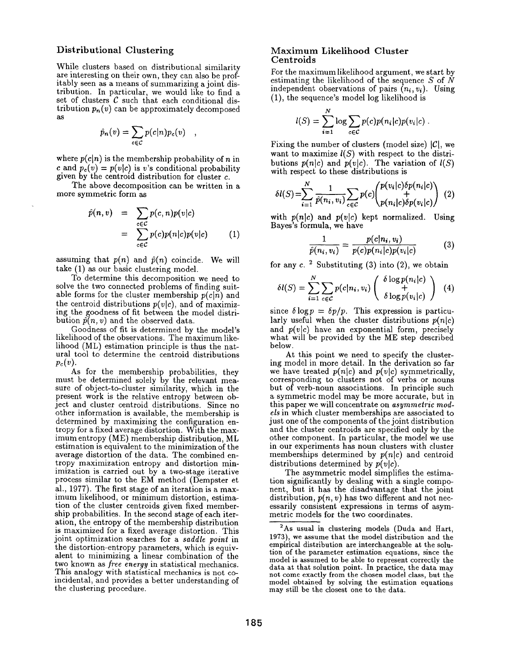## **Distributional** Clustering

While clusters based on distributional similarity are interesting on their own, they can also be profitably seen as a means of summarizing a joint distribution. In particular, we would like to find a set of clusters  $\mathcal C$  such that each conditional distribution  $p_n(v)$  can be approximately decomposed as

$$
\hat{p}_n(v) = \sum_{c \in C} p(c|n) p_c(v) \quad ,
$$

where  $p(c|n)$  is the membership probability of n in c and  $p_c(v) = p(v|c)$  is v's conditional probability given by the centroid distribution for cluster  $c$ .

The above decomposition can be written in a more symmetric form as

$$
\hat{p}(n, v) = \sum_{c \in C} p(c, n)p(v|c) \n= \sum_{c \in C} p(c)p(n|c)p(v|c) \qquad (1)
$$

assuming that  $p(n)$  and  $\hat{p}(n)$  coincide. We will take (1) as our basic clustering model.

To determine this decomposition we need to solve the two connected problems of finding suitable forms for the cluster membership  $p(c|n)$  and the centroid distributions  $p(v|c)$ , and of maximizing the goodness of fit between the model distribution  $\hat{p}(n, v)$  and the observed data.

Goodness of fit is determined by the model's likelihood of the observations. The maximum likelihood (ML) estimation principle is thus the natural tool to determine the centroid distributions  $p_c(v)$ .

As for the membership probabilities, they must be determined solely by the relevant measure of object-to-cluster similarity, which in the present work is the relative entropy between object and cluster centroid distributions. Since no other information is available, the membership is determined by maximizing the configuration entropy for a fixed average distortion. With the maximum entropy (ME) membership distribution, ML estimation is equivalent to the minimization of the average distortion of the data. The combined entropy maximization entropy and distortion minimization is carried out by a two-stage iterative process similar to the EM method (Dempster et al., 1977). The first stage of an iteration is a maximum likelihood, or minimum distortion, estimation of the cluster centroids given fixed membership probabilities. In the second stage of each iteration, the entropy of the membership distribution is maximized for a fixed average distortion. This joint optimization searches for a *saddle point* in the distortion-entropy parameters, which is equivalent to minimizing a linear combination of the two known as *free energy* in statistical mechanics. This analogy with statistical mechanics is not coincidental, and provides a better understanding of the clustering procedure.

#### Maximum Likelihood Cluster Centroids

N

For the maximum likelihood argument, we start by estimating the likelihood of the sequence  $S$  of  $N$ independent observations of pairs  $(n_i, v_i)$ . Using (1), the sequence's model log likelihood is

$$
l(S) = \sum_{i=1}^N \log \sum_{c \in C} p(c) p(n_i|c) p(v_i|c) .
$$

Fixing the number of clusters (model size)  $|\mathcal{C}|$ , we want to maximize  $l(S)$  with respect to the distributions  $p(n|c)$  and  $p(v|c)$ . The variation of  $l(S)$ with respect to these distributions is

$$
\delta l(S) = \sum_{i=1}^{N} \frac{1}{\hat{p}(n_i, v_i)} \sum_{c \in C} p(c) \begin{pmatrix} p(v_i|c)\delta p(n_i|c) \\ + \\ p(n_i|c)\delta p(v_i|c) \end{pmatrix} (2)
$$

with  $p(n|c)$  and  $p(v|c)$  kept normalized. Using Bayes's formula, we have

$$
\frac{1}{\hat{p}(n_i, v_i)} = \frac{p(c|n_i, v_i)}{p(c)p(n_i|c)p(v_i|c)}\tag{3}
$$

for any  $c.$  <sup>2</sup> Substituting (3) into (2), we obtain

$$
\delta l(S) = \sum_{i=1}^{N} \sum_{c \in C} p(c|n_i, v_i) \begin{pmatrix} \delta \log p(n_i|c) \\ + \\ \delta \log p(v_i|c) \end{pmatrix} (4)
$$

since  $\delta \log p = \delta p/p$ . This expression is particularly useful when the cluster distributions  $p(n|c)$ and  $p(v|c)$  have an exponential form, precisely what will be provided by the ME step described below.

At this point we need to specify the clustering model in more detail. In the derivation so far we have treated  $p(n|c)$  and  $p(v|c)$  symmetrically, corresponding to clusters not of verbs or nouns but of verb-noun associations. In principle such a symmetric model may be more accurate, but in this paper we will concentrate on *asymmetric models* in which cluster memberships are associated to just one of the components of the joint distribution and the cluster centroids are specified only by the other component. In particular, the model we use in our experiments has noun clusters with cluster memberships determined by *p(nlc)* and centroid distributions determined by  $p(v|c)$ .

The asymmetric model simplifies the estimation significantly by dealing with a single component, but it has the disadvantage that the joint distribution,  $p(n, v)$  has two different and not necessarily consistent expressions in terms of asymmetric models for the two coordinates.

<sup>&</sup>lt;sup>2</sup>As usual in clustering models (Duda and Hart, 1973), we assume that the model distribution and the empirical distribution are interchangeable at the solution of the parameter estimation equations, since the model is assumed to be able to represent correctly the data at that solution point. In practice, the data may not come exactly from the chosen model class, but the model obtained by solving the estimation equations may still be the closest one to the data.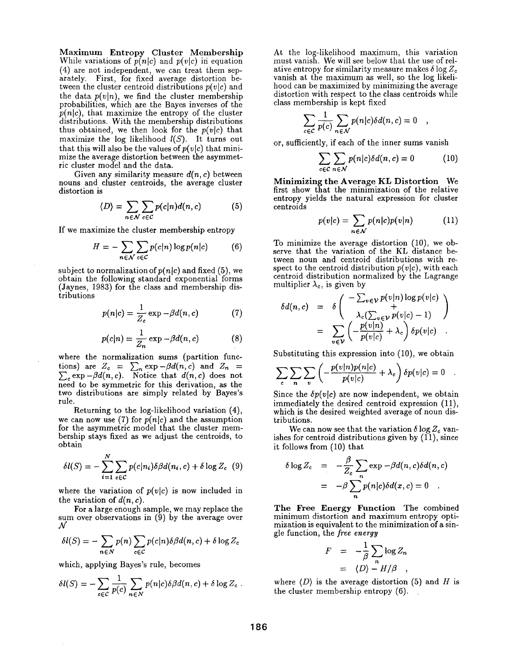Maximum Entropy Cluster Membership While variations of  $p(n|c)$  and  $p(v|c)$  in equation (4) are not independent, we can treat them separately. First, for fixed average distortion between the cluster centroid distributions  $p(v|c)$  and the data  $p(v|n)$ , we find the cluster membership probabilities, which are the Bayes inverses of the  $p(n|c)$ , that maximize the entropy of the cluster distributions. With the membership distributions thus obtained, we then look for the  $p(v|c)$  that maximize the log likelihood  $l(S)$ . It turns out that this will also be the values of  $p(v|c)$  that minimize the average distortion between the asymmetric cluster model and the data.

Given any similarity measure *din , c)* between nouns and cluster centroids, the average cluster distortion is

$$
\langle D \rangle = \sum_{n \in \mathcal{N}} \sum_{c \in \mathcal{C}} p(c|n) d(n, c) \tag{5}
$$

If we maximize the cluster membership entropy

$$
H = -\sum_{n \in \mathcal{N}} \sum_{c \in \mathcal{C}} p(c|n) \log p(n|c) \tag{6}
$$

subject to normalization of  $p(n|c)$  and fixed (5), we obtain the following standard exponential forms (Jaynes, 1983) for the class and membership distributions

$$
p(n|c) = \frac{1}{Z_c} \exp{-\beta d(n, c)}
$$
 (7)

$$
p(c|n) = \frac{1}{Z_n} \exp{-\beta d(n, c)}
$$
 (8)

where the normalization sums (partition functions) are  $Z_c = \sum_n \exp{-\beta d(n,c)}$  and  $Z_n =$  $\sum_{c} \exp{-\beta d(n,c)}$ . Notice that  $d(n,c)$  does not need to be symmetric for this derivation, as the two distributions are simply related by Bayes's rule.

Returning to the log-likelihood variation (4), we can now use (7) for  $p(n|c)$  and the assumption for the asymmetric model that the cluster membership stays fixed as we adjust the centroids, to obtain

$$
\delta l(S) = -\sum_{i=1}^{N} \sum_{c \in C} p(c|n_i) \delta \beta d(n_i, c) + \delta \log Z_c \quad (9)
$$

where the variation of  $p(v|c)$  is now included in the variation of  $d(n, c)$ .

For a large enough sample, we may replace the sum over observations in (9) by the average over  ${\cal N}$ 

$$
\delta l(S) = -\sum_{n \in N} p(n) \sum_{c \in C} p(c|n) \delta \beta d(n, c) + \delta \log Z_c
$$

which, applying Bayes's rule, becomes

$$
\delta l(S) = -\sum_{c \in C} \frac{1}{p(c)} \sum_{n \in N} p(n|c) \delta \beta d(n,c) + \delta \log Z_c.
$$

At the log-likelihood maximum, this variation must vanish. We will see below that the use of relative entropy for similarity measure makes  $\delta \log Z_c$ vanish at the maximum as well, so the log likelihood can be maximized by minimizing the average distortion with respect to the class centroids while class membership is kept fixed

$$
\sum_{c \in C} \frac{1}{p(c)} \sum_{n \in \mathcal{N}} p(n|c) \delta d(n,c) = 0 \quad ,
$$

or, sufficiently, if each of the inner sums vanish

$$
\sum_{c \in \mathcal{C}} \sum_{n \in \mathcal{N}} p(n|c) \delta d(n,c) = 0 \tag{10}
$$

Minimizing the Average **KL Distortion We**  first show that the minimization of the relative entropy yields the natural expression for cluster centroids

$$
p(v|c) = \sum_{n \in \mathcal{N}} p(n|c)p(v|n) \tag{11}
$$

To minimize the average distortion (10), we observe that the variation of the KL distance between noun and centroid distributions with respect to the centroid distribution  $p(v|c)$ , with each centroid distribution normalized by the Lagrange multiplier  $\lambda_c$ , is given by

$$
\delta d(n, c) = \delta \left( \begin{array}{c} -\sum_{v \in \mathcal{V}} p(v|n) \log p(v|c) \\ + \\ \lambda_c(\sum_{v \in \mathcal{V}} p(v|c) - 1) \\ = \sum_{v \in \mathcal{V}} \left( -\frac{p(v|n)}{p(v|c)} + \lambda_c \right) \delta p(v|c) \end{array} \right)
$$

Substituting this expression into (10), we obtain

$$
\sum_{c} \sum_{n} \sum_{v} \left( -\frac{p(v|n)p(n|c)}{p(v|c)} + \lambda_c \right) \delta p(v|c) = 0
$$

Since the  $\delta p(v|c)$  are now independent, we obtain immediately the desired centroid expression (11), which is the desired weighted average of noun distributions.

We can now see that the variation  $\delta \log Z_c$  vanishes for centroid distributions given by  $(11)$ , since it follows from (10) that

$$
\delta \log Z_c = -\frac{\beta}{Z_c} \sum_n \exp{-\beta d(n, c) \delta d(n, c)}
$$
  
=  $-\beta \sum_n p(n|c) \delta d(x, c) = 0$ .

The Free Energy Function The combined minimum distortion and maximum entropy optimization is equivalent to the minimization of a single function, the *free energy* 

$$
F = -\frac{1}{\beta} \sum_{n} \log Z_n
$$
  
=  $\langle D \rangle - H/\beta$ ,

where  $\langle D \rangle$  is the average distortion (5) and H is the cluster membership entropy (6).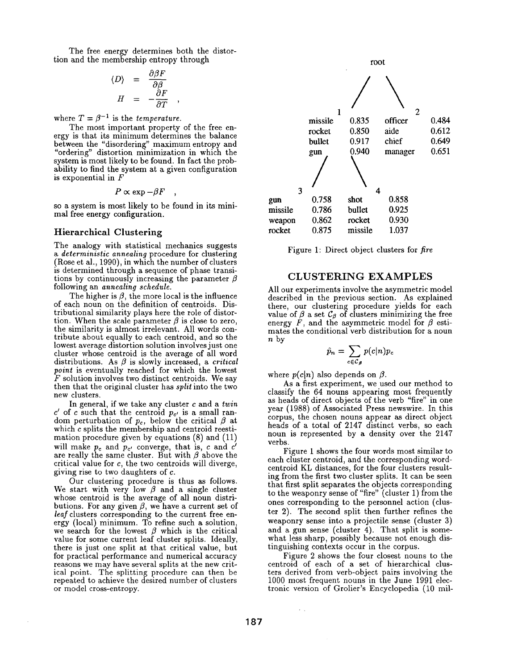The free energy determines both the distortion and the membership entropy through

$$
\langle D \rangle = \frac{\partial \beta F}{\partial \beta}
$$
  

$$
H = -\frac{\partial F}{\partial T} ,
$$

where  $T = \beta^{-1}$  is the *temperature*.

The most important property of the free energy is that its minimum determines the balance between the "disordering" maximum entropy and "ordering" distortion minimization in which the system is most likely to be found. In fact the probability to find the system at a given configuration is exponential in F

$$
P \propto \exp{-\beta F} \quad ,
$$

so a system is most likely to be found in its minimal free energy configuration.

#### **Hierarchical Clustering**

The analogy with statistical mechanics suggests *a deterministic annealing* procedure for clustering Rose et al., 1990), in which the number of clusters is determined through a sequence of phase transitions by continuously increasing the parameter  $\beta$ following an *annealing schedule.* 

The higher is  $\beta$ , the more local is the influence of each noun on the definition of centroids. Distributional similarity plays here the role of distortion. When the scale parameter  $\beta$  is close to zero, the similarity is almost irrelevant. All words contribute about equally to each centroid, and so the lowest average distortion solution involves just one cluster whose centroid is the average of all word distributions. As  $\beta$  is slowly increased, a *critical point* is eventually reached for which the lowest  $F$  solution involves two distinct centroids. We say then that the original cluster has *split* into the two new clusters.

In general, if we take any cluster c and a *twin*  c' of c such that the centroid  $p_{c'}$  is a small random perturbation of  $p_c$ , below the critical  $\beta$  at which c splits the membership and centroid reestimation procedure given by equations (8) and (11) will make  $p_c$  and  $p_{c'}$  converge, that is, c and c' are really the same cluster. But with  $\beta$  above the critical value for c, the two centroids will diverge, giving rise to two daughters of c.

Our clustering procedure is thus as follows. We start with very low  $\beta$  and a single cluster whose centroid is the average of all noun distributions. For any given  $\beta$ , we have a current set of *leaf* clusters corresponding to the current free energy (local) minimum. To refine such a solution, we search for the lowest  $\beta$  which is the critical value for some current leaf cluster splits. Ideally, there is just one split at that critical value, but for practical performance and numerical accuracy reasons we may have several splits at the new critical point. The splitting procedure can then be repeated to achieve the desired number of clusters or model cross-entropy.



Figure 1: Direct object clusters for *fire* 

# CLUSTERING EXAMPLES

All our experiments involve the asymmetric model described in the previous section. As explained there, our clustering procedure yields for each value of  $\beta$  a set  $\mathcal{C}_{\beta}$  of clusters minimizing the free energy F, and the asymmetric model for  $\beta$  estimates the conditional verb distribution for a noun n by

$$
\hat{p}_n = \sum_{c \in \mathcal{C}_{\beta}} p(c|n) p_c
$$

where  $p(c|n)$  also depends on  $\beta$ .

As a first experiment, we used our method to classify the 64 nouns appearing most frequently as heads of direct objects of the verb "fire" in one year (1988) of Associated Press newswire. In this corpus, the chosen nouns appear as direct object heads of a total of 2147 distinct verbs, so each noun is represented by a density over the 2147 verbs.

Figure 1 shows the four words most similar to each cluster centroid, and the corresponding wordcentroid KL distances, for the four clusters resulting from the first two cluster splits. It can be seen that first split separates the objects corresponding to the weaponry sense of "fire" (cluster 1) from the ones corresponding to the personnel action (cluster 2). The second split then further refines the weaponry sense into a projectile sense (cluster 3) and a gun sense (cluster 4). That split is somewhat less sharp, possibly because not enough distinguishing contexts occur in the corpus.

Figure 2 shows the four closest nouns to the centroid of each of a set of hierarchical clusters derived from verb-object pairs involving the 1000 most frequent nouns in the June 1991 electronic version of Grolier's Encyclopedia (10 mil-

 $\mathcal{L}^{\mathcal{L}}$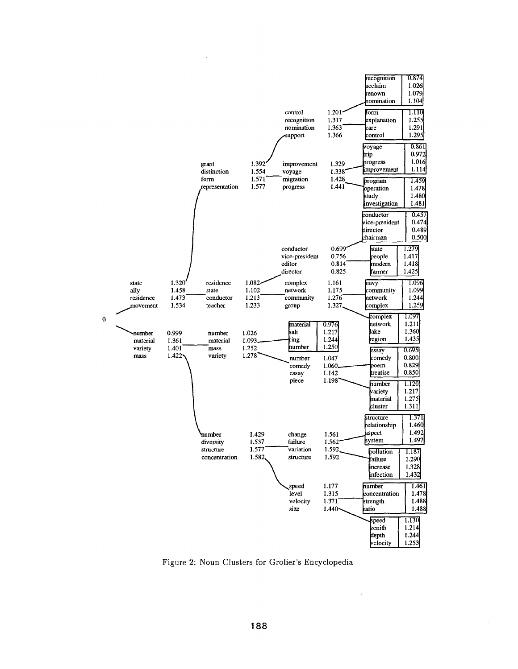

Figure 2: Noun Clusters for Grolier's Encyclopedia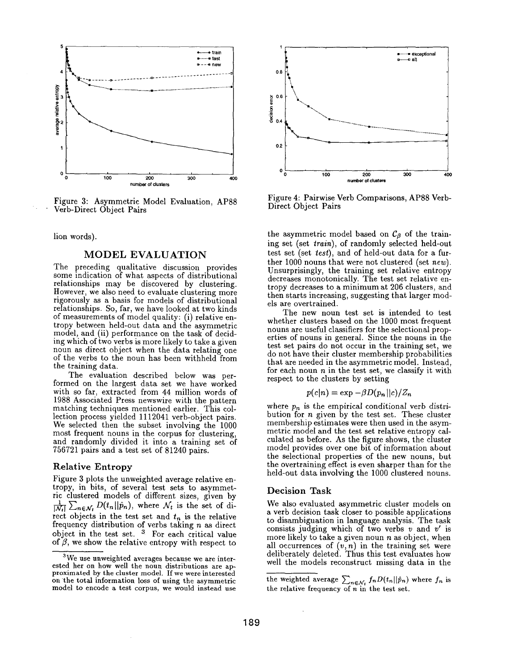

Figure 3: Asymmetric Model Evaluation, AP88 Verb-Direct Object Pairs

lion words).

#### MODEL EVALUATION

The preceding qualitative discussion provides some indication of what aspects of distributional relationships may be discovered by clustering. However, we also need to evaluate clustering more rigorously as a basis for models of distributional relationships. So, far, we have looked at two kinds of measurements of model quality: (i) relative entropy between held-out data and the asymmetric model, and (ii) performance on the task of deciding which of two verbs is more likely to take a given noun as direct object when the data relating one of the verbs to the noun has been withheld from the training data.

The evaluation described below was performed on the largest data set we have worked with so far, extracted from 44 million words of 1988 Associated Press newswire with the pattern matching techniques mentioned earlier. This collection process yielded 1112041 verb-object pairs. We selected then the subset involving the 1000 most frequent nouns in the corpus for clustering, and randomly divided it into a training set of 756721 pairs and a test set of 81240 pairs.

#### Relative Entropy

Figure 3 plots the unweighted average relative entropy, in bits, of several test sets to asymmetric clustered models of different sizes, given by  $\frac{1}{|N_t|}\sum_{n\in\mathcal{N}_t}D(t_n||\hat{p}_n)$ , where  $\mathcal{N}_t$  is the set of direct objects in the test set and  $t_n$  is the relative frequency distribution of verbs taking n as direct object in the test set. <sup>3</sup> For each critical value of  $\beta$ , we show the relative entropy with respect to



Figure 4: Pairwise Verb Comparisons, AP88 Verb-Direct Object Pairs

the asymmetric model based on  $\mathcal{C}_{\beta}$  of the training set (set *train),* of randomly selected held-out test set (set test), and of held-out data for a further 1000 nouns that were not clustered (set *new).*  Unsurprisingly, the training set relative entropy decreases monotonically. The test set relative entropy decreases to a minimum at 206 clusters, and then starts increasing, suggesting that larger models are overtrained.

The new noun test set is intended to test whether clusters based on the 1000 most frequent nouns are useful classifiers for the selectional properties of nouns in general. Since the nouns in the test set pairs do not occur in the training set, we do not have their cluster membership probabilities that are needed in the asymmetric model. Instead, for each noun  $n$  in the test set, we classify it with respect to the clusters by setting

$$
p(c|n) = \exp{-\beta D(p_n||c)/Z_n}
$$

where  $p_n$  is the empirical conditional verb distribution for n given by the test set. These cluster membership estimates were then used in the asymmetric model and the test set relative entropy calculated as before. As the figure shows, the cluster model provides over one bit of information about the selectional properties of the new nouns, but the overtraining effect is even sharper than for the held-out data involving the 1000 clustered nouns.

#### Decision Task

We also evaluated asymmetric cluster models on a verb decision task closer to possible applications to disambiguation in language analysis. The task consists judging which of two verbs  $v$  and  $v'$  is more likely to take a given noun  $n$  as object, when all occurrences of  $(v, n)$  in the training set were deliberately deleted. Thus this test evaluates how well the models reconstruct missing data in the

 $3$ We use unweighted averages because we are interested her on how well the noun distributions are approximated by the cluster model. If we were interested on the total information loss of using the asymmetric model to encode a test corpus, we would instead use

the weighted average  $\sum_{n\in\mathcal{N}_t} f_nD(t_n||\hat{p}_n)$  where  $f_n$  is the relative frequency of  $n$  in the test set.